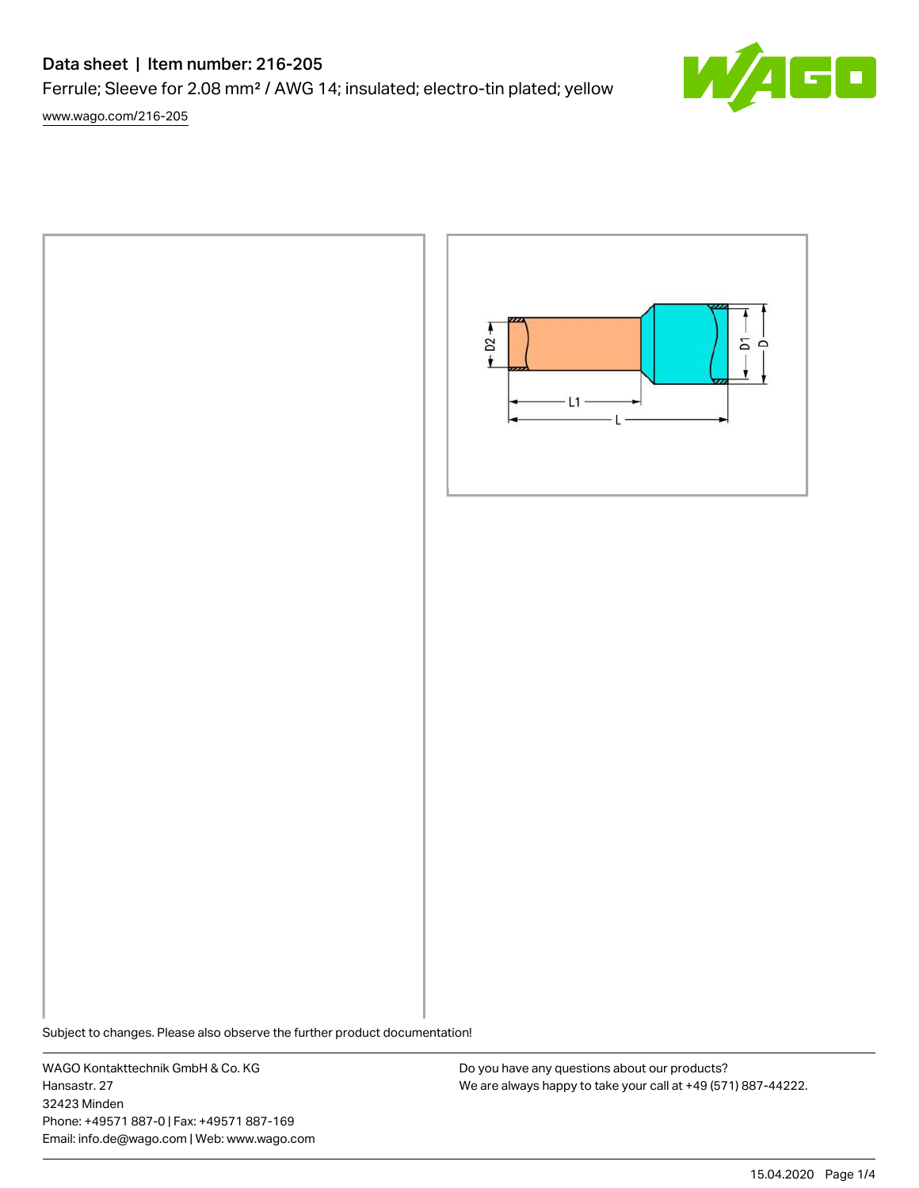# Data sheet | Item number: 216-205

Ferrule; Sleeve for 2.08 mm² / AWG 14; insulated; electro-tin plated; yellow

[www.wago.com/216-205](http://www.wago.com/216-205)



Subject to changes. Please also observe the further product documentation!

WAGO Kontakttechnik GmbH & Co. KG Hansastr. 27 32423 Minden Phone: +49571 887-0 | Fax: +49571 887-169 Email: info.de@wago.com | Web: www.wago.com

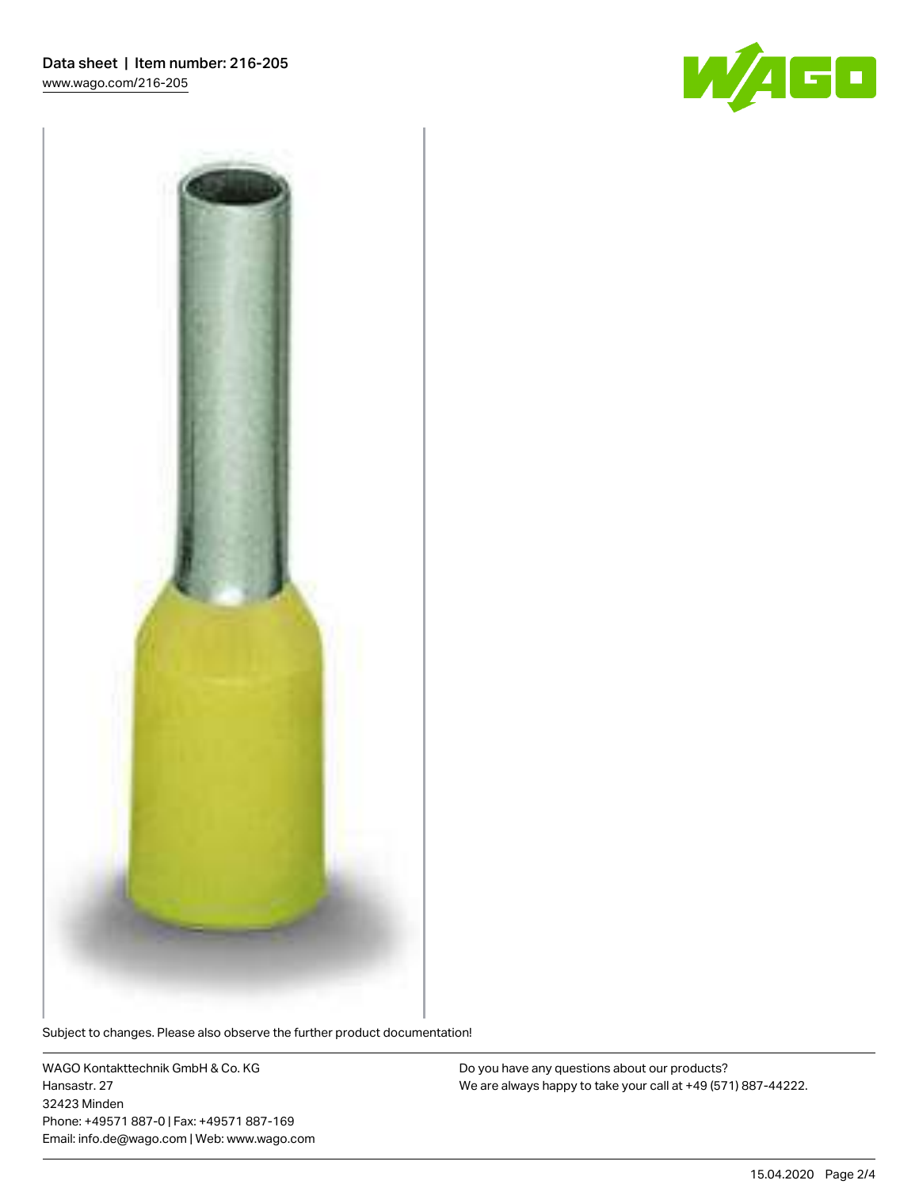



Subject to changes. Please also observe the further product documentation!

WAGO Kontakttechnik GmbH & Co. KG Hansastr. 27 32423 Minden Phone: +49571 887-0 | Fax: +49571 887-169 Email: info.de@wago.com | Web: www.wago.com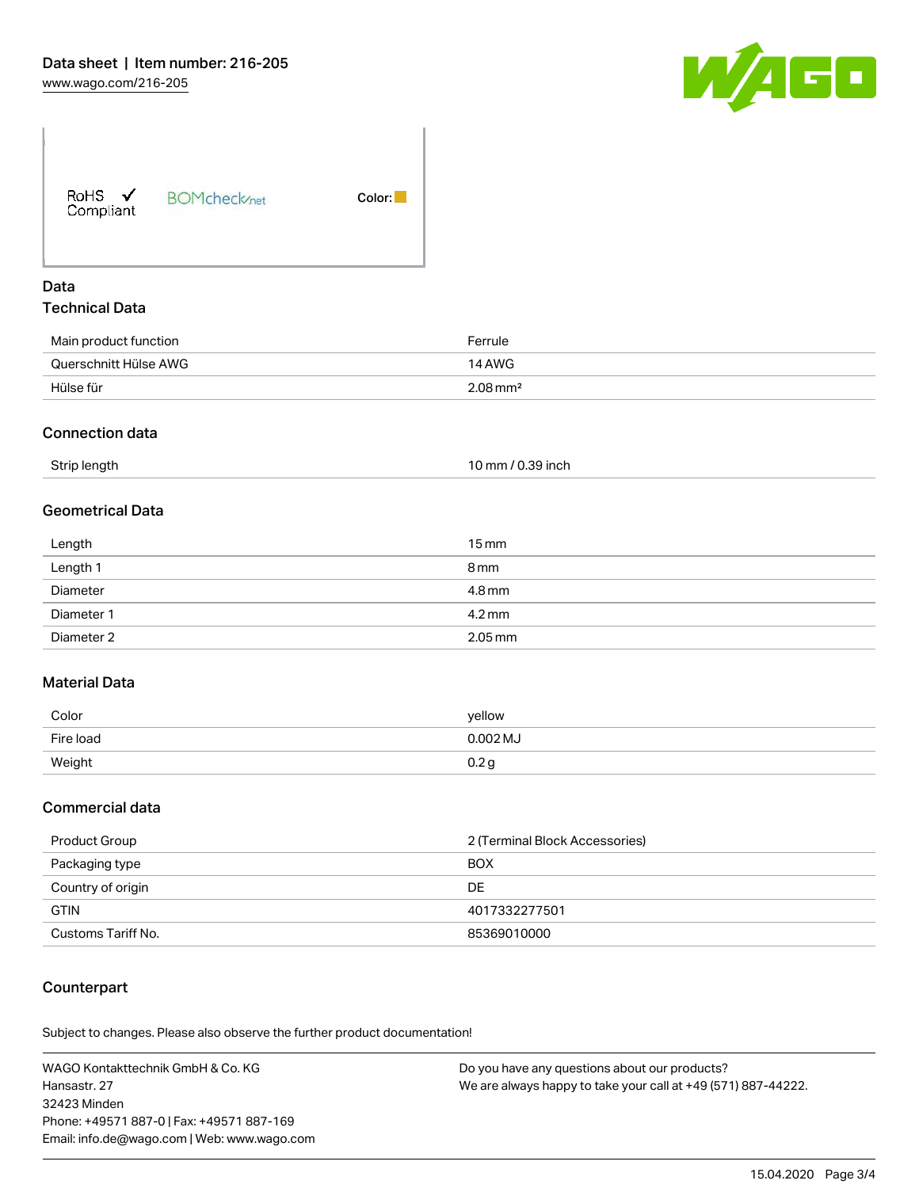

RoHS  $\checkmark$ Compliant

**BOMcheck**<sub>net</sub>

Color:

#### Data Technical Data

| Main product function | Ferrule                |
|-----------------------|------------------------|
| Querschnitt Hülse AWG | 14 AWG                 |
| Hülse für             | $2.08 \,\mathrm{mm}^2$ |

## Connection data

| Strip length | 10 mm / 0.39 inch |
|--------------|-------------------|
|              |                   |

# Geometrical Data

| Length     | $15 \,\mathrm{mm}$   |
|------------|----------------------|
| Length 1   | 8 mm                 |
| Diameter   | 4.8 mm               |
| Diameter 1 | $4.2 \,\mathrm{mm}$  |
| Diameter 2 | $2.05 \,\mathrm{mm}$ |

### Material Data

| Color     | yellow   |
|-----------|----------|
| Fire load | 0.002 MJ |
| Weight    | 0.2 q    |

### Commercial data

| Product Group      | 2 (Terminal Block Accessories) |  |
|--------------------|--------------------------------|--|
| Packaging type     | <b>BOX</b>                     |  |
| Country of origin  | DE                             |  |
| <b>GTIN</b>        | 4017332277501                  |  |
| Customs Tariff No. | 85369010000                    |  |

### Counterpart

Subject to changes. Please also observe the further product documentation!

WAGO Kontakttechnik GmbH & Co. KG Hansastr. 27 32423 Minden Phone: +49571 887-0 | Fax: +49571 887-169 Email: info.de@wago.com | Web: www.wago.com